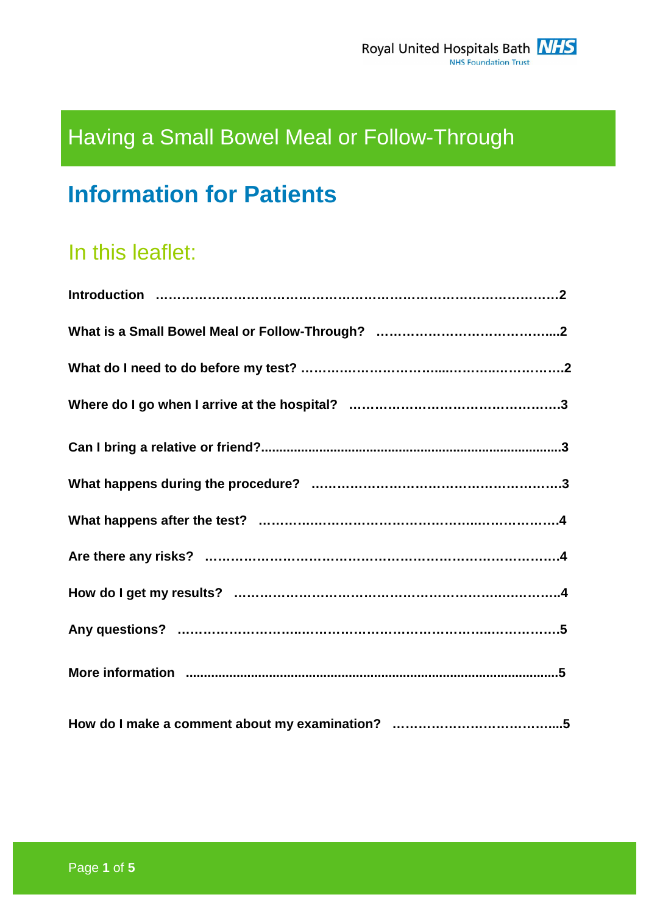# Having a Small Bowel Meal or Follow-Through

# **Information for Patients**

# In this leaflet: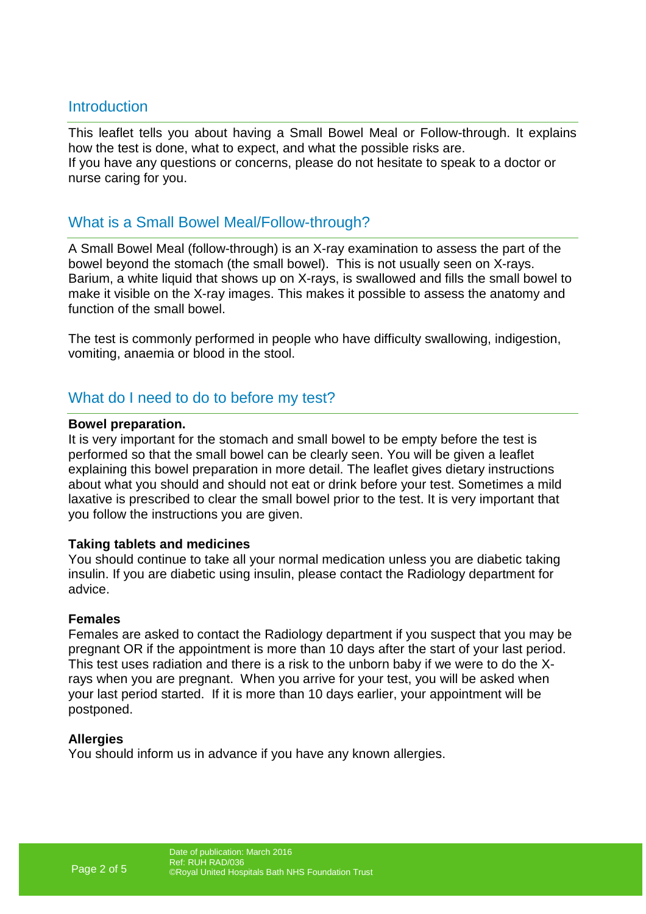## **Introduction**

This leaflet tells you about having a Small Bowel Meal or Follow-through. It explains how the test is done, what to expect, and what the possible risks are. If you have any questions or concerns, please do not hesitate to speak to a doctor or nurse caring for you.

## What is a Small Bowel Meal/Follow-through?

A Small Bowel Meal (follow-through) is an X-ray examination to assess the part of the bowel beyond the stomach (the small bowel). This is not usually seen on X-rays. Barium, a white liquid that shows up on X-rays, is swallowed and fills the small bowel to make it visible on the X-ray images. This makes it possible to assess the anatomy and function of the small bowel.

The test is commonly performed in people who have difficulty swallowing, indigestion, vomiting, anaemia or blood in the stool.

### What do I need to do to before my test?

#### **Bowel preparation.**

It is very important for the stomach and small bowel to be empty before the test is performed so that the small bowel can be clearly seen. You will be given a leaflet explaining this bowel preparation in more detail. The leaflet gives dietary instructions about what you should and should not eat or drink before your test. Sometimes a mild laxative is prescribed to clear the small bowel prior to the test. It is very important that you follow the instructions you are given.

#### **Taking tablets and medicines**

You should continue to take all your normal medication unless you are diabetic taking insulin. If you are diabetic using insulin, please contact the Radiology department for advice.

#### **Females**

Females are asked to contact the Radiology department if you suspect that you may be pregnant OR if the appointment is more than 10 days after the start of your last period. This test uses radiation and there is a risk to the unborn baby if we were to do the Xrays when you are pregnant. When you arrive for your test, you will be asked when your last period started. If it is more than 10 days earlier, your appointment will be postponed.

#### **Allergies**

You should inform us in advance if you have any known allergies.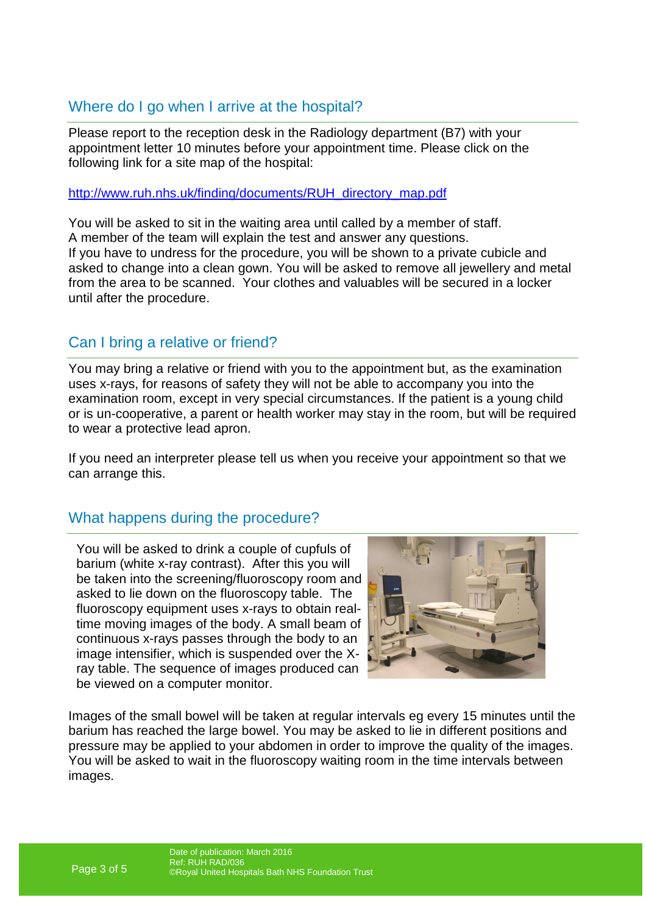# Where do I go when I arrive at the hospital?

Please report to the reception desk in the Radiology department (B7) with your appointment letter 10 minutes before your appointment time. Please click on the following link for a site map of the hospital:

http://www.ruh.nhs.uk/finding/documents/RUH\_directory\_map.pdf

You will be asked to sit in the waiting area until called by a member of staff. A member of the team will explain the test and answer any questions. If you have to undress for the procedure, you will be shown to a private cubicle and asked to change into a clean gown. You will be asked to remove all jewellery and metal from the area to be scanned. Your clothes and valuables will be secured in a locker until after the procedure.

# Can I bring a relative or friend?

You may bring a relative or friend with you to the appointment but, as the examination uses x-rays, for reasons of safety they will not be able to accompany you into the examination room, except in very special circumstances. If the patient is a young child or is un-cooperative, a parent or health worker may stay in the room, but will be required to wear a protective lead apron.

If you need an interpreter please tell us when you receive your appointment so that we can arrange this.

# What happens during the procedure?

You will be asked to drink a couple of cupfuls of barium (white x-ray contrast). After this you will be taken into the screening/fluoroscopy room and asked to lie down on the fluoroscopy table. The fluoroscopy equipment uses x-rays to obtain realtime moving images of the body. A small beam of continuous x-rays passes through the body to an image intensifier, which is suspended over the Xray table. The sequence of images produced can be viewed on a computer monitor.



Images of the small bowel will be taken at regular intervals eg every 15 minutes until the barium has reached the large bowel. You may be asked to lie in different positions and pressure may be applied to your abdomen in order to improve the quality of the images. You will be asked to wait in the fluoroscopy waiting room in the time intervals between images.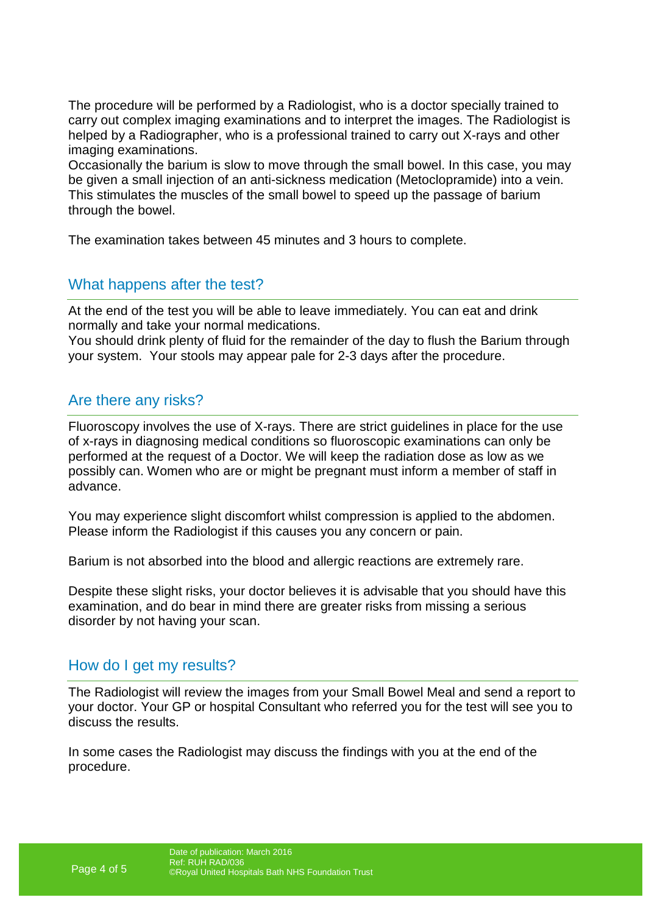The procedure will be performed by a Radiologist, who is a doctor specially trained to carry out complex imaging examinations and to interpret the images. The Radiologist is helped by a Radiographer, who is a professional trained to carry out X-rays and other imaging examinations.

Occasionally the barium is slow to move through the small bowel. In this case, you may be given a small injection of an anti-sickness medication (Metoclopramide) into a vein. This stimulates the muscles of the small bowel to speed up the passage of barium through the bowel.

The examination takes between 45 minutes and 3 hours to complete.

## What happens after the test?

At the end of the test you will be able to leave immediately. You can eat and drink normally and take your normal medications.

You should drink plenty of fluid for the remainder of the day to flush the Barium through your system. Your stools may appear pale for 2-3 days after the procedure.

## Are there any risks?

Fluoroscopy involves the use of X-rays. There are strict guidelines in place for the use of x-rays in diagnosing medical conditions so fluoroscopic examinations can only be performed at the request of a Doctor. We will keep the radiation dose as low as we possibly can. Women who are or might be pregnant must inform a member of staff in advance.

You may experience slight discomfort whilst compression is applied to the abdomen. Please inform the Radiologist if this causes you any concern or pain.

Barium is not absorbed into the blood and allergic reactions are extremely rare.

Despite these slight risks, your doctor believes it is advisable that you should have this examination, and do bear in mind there are greater risks from missing a serious disorder by not having your scan.

### How do I get my results?

The Radiologist will review the images from your Small Bowel Meal and send a report to your doctor. Your GP or hospital Consultant who referred you for the test will see you to discuss the results.

In some cases the Radiologist may discuss the findings with you at the end of the procedure.